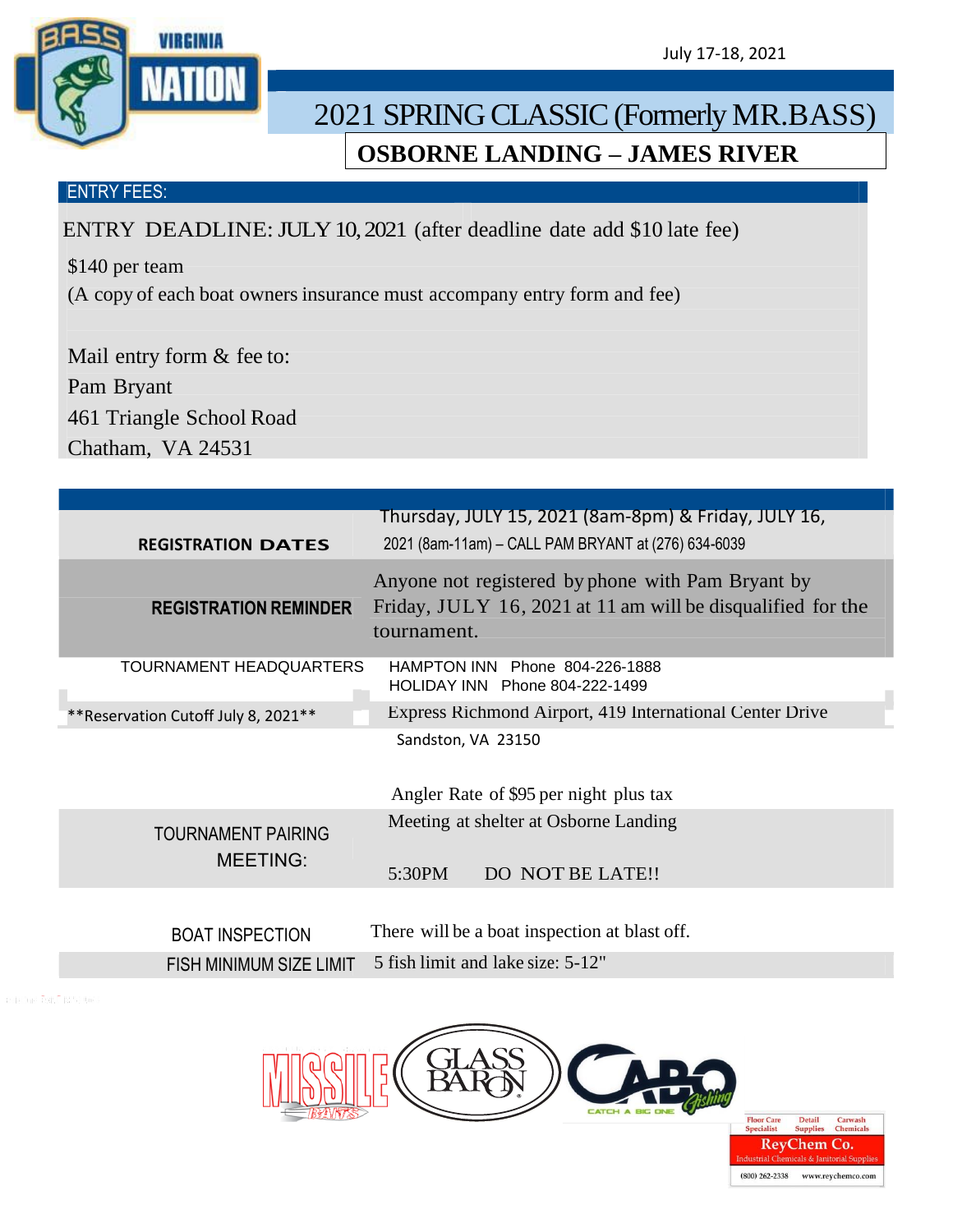VIRGINIA

**Detail** 

 $(800)$  262-2338

Carwasl<br>Chemica

www.reychemco.com

## 2021 SPRING CLASSIC (Formerly MR.BASS) **OSBORNE LANDING – JAMES RIVER**

## ENTRY FEES:

ENTRY DEADLINE: JULY 10, 2021 (after deadline date add \$10 late fee)

\$140 per team

(A copy of each boat owners insurance must accompany entry form and fee)

Mail entry form & fee to: Pam Bryant 461 Triangle School Road Chatham, VA 24531

| <b>REGISTRATION DATES</b>                    | Thursday, JULY 15, 2021 (8am-8pm) & Friday, JULY 16,<br>2021 (8am-11am) - CALL PAM BRYANT at (276) 634-6039 |
|----------------------------------------------|-------------------------------------------------------------------------------------------------------------|
|                                              | Anyone not registered by phone with Pam Bryant by                                                           |
| <b>REGISTRATION REMINDER</b>                 | Friday, JULY 16, 2021 at 11 am will be disqualified for the<br>tournament.                                  |
| TOURNAMENT HEADQUARTERS                      | HAMPTON INN Phone 804-226-1888<br>HOLIDAY INN Phone 804-222-1499                                            |
| ** Reservation Cutoff July 8, 2021 **        | Express Richmond Airport, 419 International Center Drive                                                    |
|                                              | Sandston, VA 23150<br>Angler Rate of \$95 per night plus tax                                                |
| <b>TOURNAMENT PAIRING</b><br><b>MEETING:</b> | Meeting at shelter at Osborne Landing<br>DO NOT BE LATE!!<br>5:30PM                                         |
| <b>BOAT INSPECTION</b>                       | There will be a boat inspection at blast off.                                                               |
| <b>FISH MINIMUM SIZE LIMIT</b>               | 5 fish limit and lake size: 5-12"                                                                           |
|                                              |                                                                                                             |

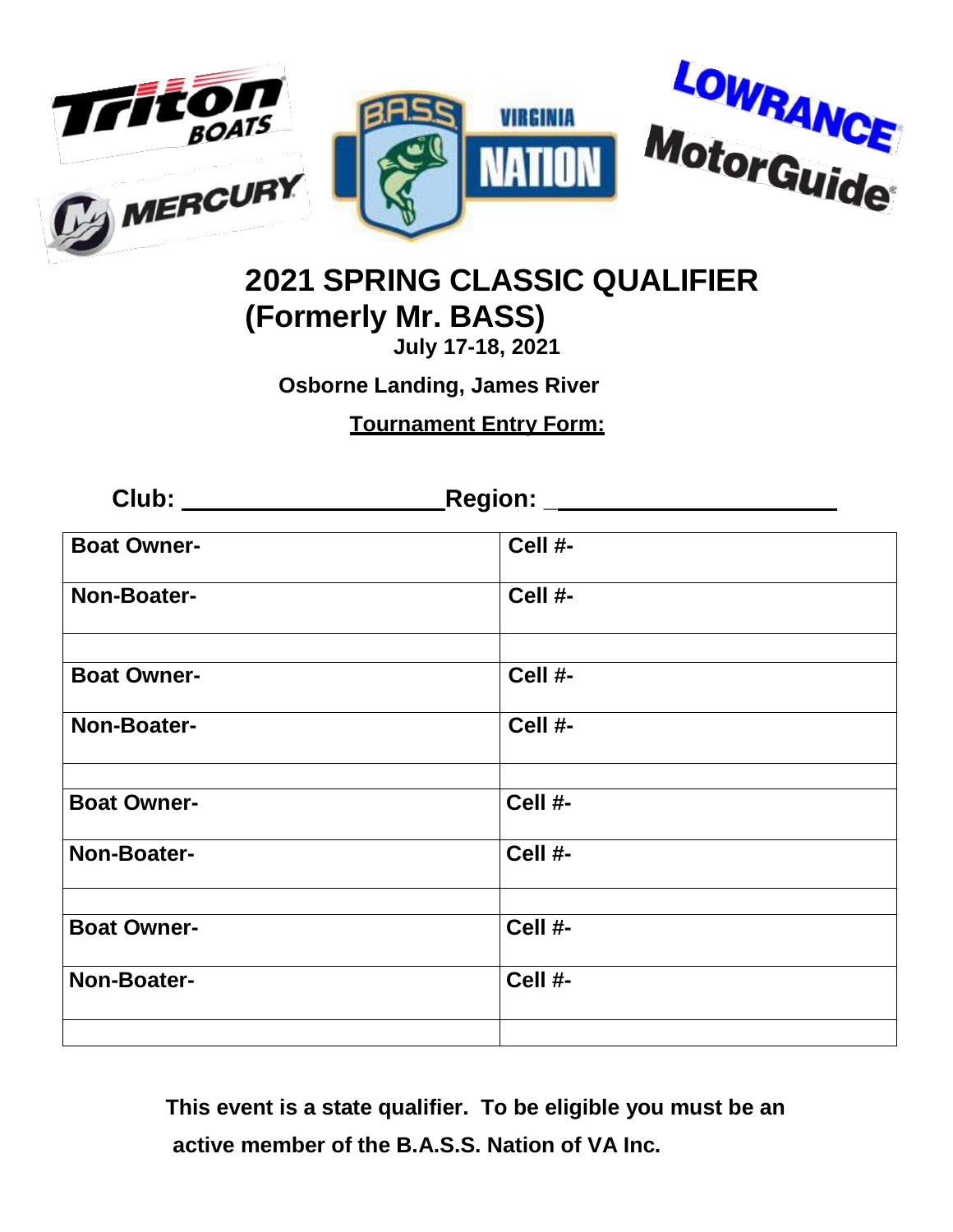

## **2021 SPRING CLASSIC QUALIFIER (Formerly Mr. BASS)**

**July 17-18, 2021**

**Osborne Landing, James River**

**Tournament Entry Form:**

**Club: Region: \_ Boat Owner- Cell #- Non-Boater- Cell #- Boat Owner- Cell #- Non-Boater- Cell #- Boat Owner- Cell #- Non-Boater- Cell #- Boat Owner- Cell #- Non-Boater- Cell #-**

> **This event is a state qualifier. To be eligible you must be an active member of the B.A.S.S. Nation of VA Inc.**